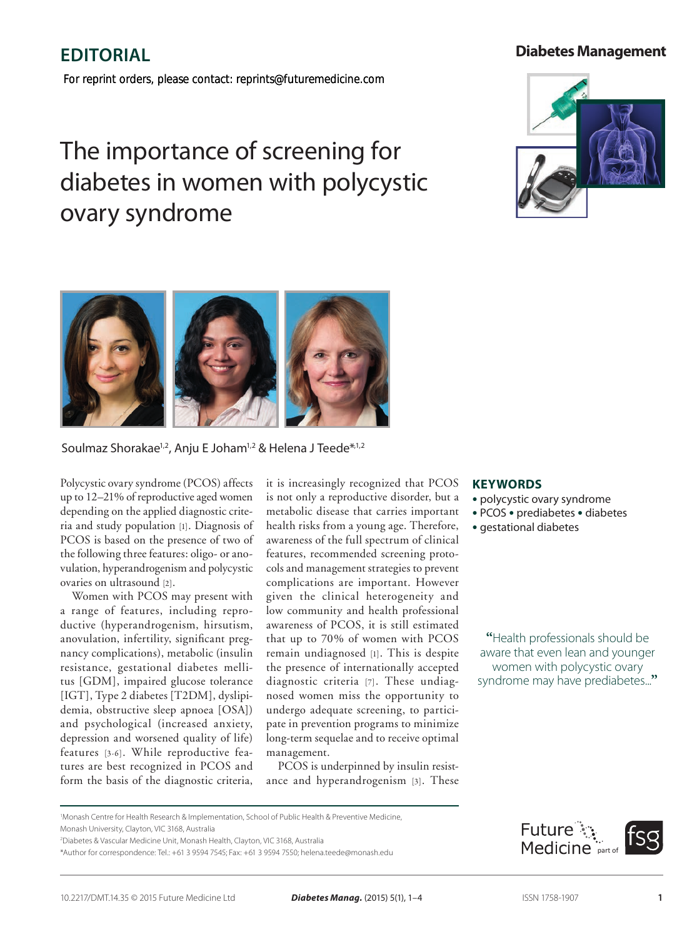## **Diabetes Management**

# **Review Editorial**

*For reprint orders, please contact: reprints@futuremedicine.com*

# The importance of screening for diabetes in women with polycystic ovary syndrome





### Soulmaz Shorakae<sup>1,2</sup>, Anju E Joham<sup>1,2</sup> & Helena J Teede<sup>\*,1,2</sup>

Polycystic ovary syndrome (PCOS) affects up to 12–21% of reproductive aged women depending on the applied diagnostic criteria and study population [1]. Diagnosis of PCOS is based on the presence of two of the following three features: oligo- or anovulation, hyperandrogenism and polycystic ovaries on ultrasound [2].

Women with PCOS may present with a range of features, including reproductive (hyperandrogenism, hirsutism, anovulation, infertility, significant pregnancy complications), metabolic (insulin resistance, gestational diabetes mellitus [GDM], impaired glucose tolerance [IGT], Type 2 diabetes [T2DM], dyslipidemia, obstructive sleep apnoea [OSA]) and psychological (increased anxiety, depression and worsened quality of life) features [3-6]. While reproductive features are best recognized in PCOS and form the basis of the diagnostic criteria, it is increasingly recognized that PCOS is not only a reproductive disorder, but a metabolic disease that carries important health risks from a young age. Therefore, awareness of the full spectrum of clinical features, recommended screening protocols and management strategies to prevent complications are important. However given the clinical heterogeneity and low community and health professional awareness of PCOS, it is still estimated that up to 70% of women with PCOS remain undiagnosed [1]. This is despite the presence of internationally accepted diagnostic criteria [7]. These undiagnosed women miss the opportunity to undergo adequate screening, to participate in prevention programs to minimize long-term sequelae and to receive optimal management.

PCOS is underpinned by insulin resistance and hyperandrogenism [3]. These

#### **Keywords**

- polycystic ovary syndrome
- PCOS prediabetes diabetes
- gestational diabetes

**"**Health professionals should be aware that even lean and younger women with polycystic ovary syndrome may have prediabetes...**"**



Monash Centre for Health Research & Implementation, School of Public Health & Preventive Medicine,

Monash University, Clayton, VIC 3168, Australia

<sup>2</sup> Diabetes & Vascular Medicine Unit, Monash Health, Clayton, VIC 3168, Australia

<sup>\*</sup>Author for correspondence: Tel.: +61 3 9594 7545; Fax: +61 3 9594 7550; helena.teede@monash.edu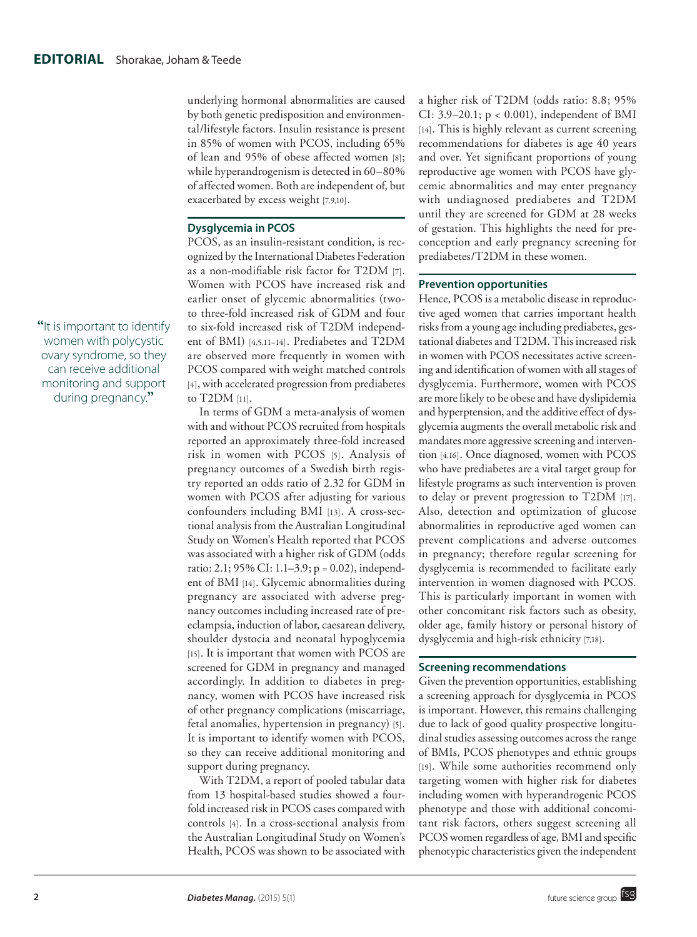underlying hormonal abnormalities are caused by both genetic predisposition and environmental/lifestyle factors. Insulin resistance is present in 85% of women with PCOS, including 65% of lean and 95% of obese affected women [8]; while hyperandrogenism is detected in 60–80% of affected women. Both are independent of, but exacerbated by excess weight [7,9,10].

#### **Dysglycemia in PCOS**

PCOS, as an insulin-resistant condition, is recognized by the International Diabetes Federation as a non-modifiable risk factor for T2DM [7]. Women with PCOS have increased risk and earlier onset of glycemic abnormalities (twoto three-fold increased risk of GDM and four to six-fold increased risk of T2DM independent of BMI) [4,5,11–14]. Prediabetes and T2DM are observed more frequently in women with PCOS compared with weight matched controls [4], with accelerated progression from prediabetes to T2DM [11].

In terms of GDM a meta-analysis of women with and without PCOS recruited from hospitals reported an approximately three-fold increased risk in women with PCOS [5]. Analysis of pregnancy outcomes of a Swedish birth registry reported an odds ratio of 2.32 for GDM in women with PCOS after adjusting for various confounders including BMI [13]. A cross-sectional analysis from the Australian Longitudinal Study on Women's Health reported that PCOS was associated with a higher risk of GDM (odds ratio: 2.1; 95% CI: 1.1–3.9; p = 0.02), independent of BMI [14]. Glycemic abnormalities during pregnancy are associated with adverse pregnancy outcomes including increased rate of preeclampsia, induction of labor, caesarean delivery, shoulder dystocia and neonatal hypoglycemia [15]. It is important that women with PCOS are screened for GDM in pregnancy and managed accordingly. In addition to diabetes in pregnancy, women with PCOS have increased risk of other pregnancy complications (miscarriage, fetal anomalies, hypertension in pregnancy) [5]. It is important to identify women with PCOS, so they can receive additional monitoring and support during pregnancy.

With T2DM, a report of pooled tabular data from 13 hospital-based studies showed a fourfold increased risk in PCOS cases compared with controls [4]. In a cross-sectional analysis from the Australian Longitudinal Study on Women's Health, PCOS was shown to be associated with

a higher risk of T2DM (odds ratio: 8.8; 95% CI: 3.9–20.1; p < 0.001), independent of BMI [14]. This is highly relevant as current screening recommendations for diabetes is age 40 years and over. Yet significant proportions of young reproductive age women with PCOS have glycemic abnormalities and may enter pregnancy with undiagnosed prediabetes and T2DM until they are screened for GDM at 28 weeks of gestation. This highlights the need for preconception and early pregnancy screening for prediabetes/T2DM in these women.

#### **Prevention opportunities**

Hence, PCOS is a metabolic disease in reproductive aged women that carries important health risks from a young age including prediabetes, gestational diabetes and T2DM. This increased risk in women with PCOS necessitates active screening and identification of women with all stages of dysglycemia. Furthermore, women with PCOS are more likely to be obese and have dyslipidemia and hyperptension, and the additive effect of dysglycemia augments the overall metabolic risk and mandates more aggressive screening and intervention [4,16]. Once diagnosed, women with PCOS who have prediabetes are a vital target group for lifestyle programs as such intervention is proven to delay or prevent progression to T2DM [17]. Also, detection and optimization of glucose abnormalities in reproductive aged women can prevent complications and adverse outcomes in pregnancy; therefore regular screening for dysglycemia is recommended to facilitate early intervention in women diagnosed with PCOS. This is particularly important in women with other concomitant risk factors such as obesity, older age, family history or personal history of dysglycemia and high-risk ethnicity [7,18].

#### **Screening recommendations**

Given the prevention opportunities, establishing a screening approach for dysglycemia in PCOS is important. However, this remains challenging due to lack of good quality prospective longitudinal studies assessing outcomes across the range of BMIs, PCOS phenotypes and ethnic groups [19]. While some authorities recommend only targeting women with higher risk for diabetes including women with hyperandrogenic PCOS phenotype and those with additional concomitant risk factors, others suggest screening all PCOS women regardless of age, BMI and specific phenotypic characteristics given the independent

**"**It is important to identify women with polycystic ovary syndrome, so they can receive additional monitoring and support during pregnancy.**"**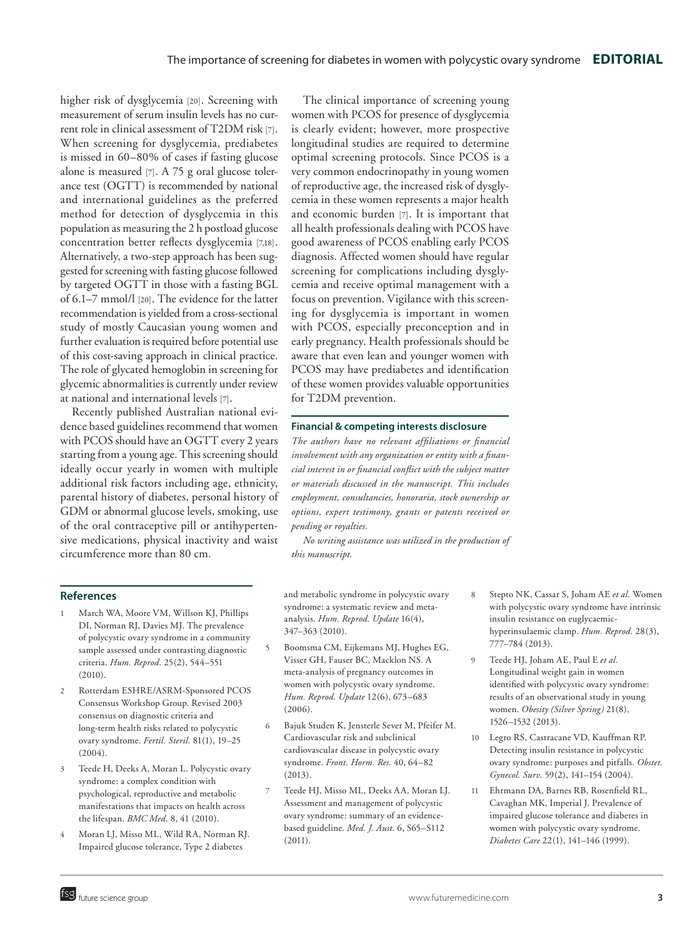higher risk of dysglycemia [20]. Screening with measurement of serum insulin levels has no current role in clinical assessment of T2DM risk [7]. When screening for dysglycemia, prediabetes is missed in 60–80% of cases if fasting glucose alone is measured [7]. A 75 g oral glucose tolerance test (OGTT) is recommended by national and international guidelines as the preferred method for detection of dysglycemia in this population as measuring the 2 h postload glucose concentration better reflects dysglycemia [7,18]. Alternatively, a two-step approach has been suggested for screening with fasting glucose followed by targeted OGTT in those with a fasting BGL of 6.1–7 mmol/l [20]. The evidence for the latter recommendation is yielded from a cross-sectional study of mostly Caucasian young women and further evaluation is required before potential use of this cost-saving approach in clinical practice. The role of glycated hemoglobin in screening for glycemic abnormalities is currently under review at national and international levels [7].

Recently published Australian national evidence based guidelines recommend that women with PCOS should have an OGTT every 2 years starting from a young age. This screening should ideally occur yearly in women with multiple additional risk factors including age, ethnicity, parental history of diabetes, personal history of GDM or abnormal glucose levels, smoking, use of the oral contraceptive pill or antihypertensive medications, physical inactivity and waist circumference more than 80 cm.

#### **References**

- 1 March WA, Moore VM, Willson KJ, Phillips DI, Norman RJ, Davies MJ. The prevalence of polycystic ovary syndrome in a community sample assessed under contrasting diagnostic criteria. *Hum. Reprod.* 25(2), 544–551 (2010).
- 2 Rotterdam ESHRE/ASRM-Sponsored PCOS Consensus Workshop Group. Revised 2003 consensus on diagnostic criteria and long-term health risks related to polycystic ovary syndrome. *Fertil. Steril.* 81(1), 19–25  $(2004)$ .
- 3 Teede H, Deeks A, Moran L. Polycystic ovary syndrome: a complex condition with psychological, reproductive and metabolic manifestations that impacts on health across the lifespan. *BMC Med.* 8, 41 (2010).
- 4 Moran LJ, Misso ML, Wild RA, Norman RJ. Impaired glucose tolerance, Type 2 diabetes

The clinical importance of screening young women with PCOS for presence of dysglycemia is clearly evident; however, more prospective longitudinal studies are required to determine optimal screening protocols. Since PCOS is a very common endocrinopathy in young women of reproductive age, the increased risk of dysglycemia in these women represents a major health and economic burden [7]. It is important that all health professionals dealing with PCOS have good awareness of PCOS enabling early PCOS diagnosis. Affected women should have regular screening for complications including dysglycemia and receive optimal management with a focus on prevention. Vigilance with this screening for dysglycemia is important in women with PCOS, especially preconception and in early pregnancy. Health professionals should be aware that even lean and younger women with PCOS may have prediabetes and identification of these women provides valuable opportunities for T2DM prevention.

#### **Financial & competing interests disclosure**

*The authors have no relevant affiliations or financial involvement with any organization or entity with a financial interest in or financial conflict with the subject matter or materials discussed in the manuscript. This includes employment, consultancies, honoraria, stock ownership or options, expert testimony, grants or patents received or pending or royalties.*

*No writing assistance was utilized in the production of this manuscript.*

and metabolic syndrome in polycystic ovary syndrome: a systematic review and metaanalysis. *Hum. Reprod. Update* 16(4), 347–363 (2010).

- 5 Boomsma CM, Eijkemans MJ, Hughes EG, Visser GH, Fauser BC, Macklon NS. A meta-analysis of pregnancy outcomes in women with polycystic ovary syndrome. *Hum. Reprod. Update* 12(6), 673–683  $(2006)$
- 6 Bajuk Studen K, Jensterle Sever M, Pfeifer M. Cardiovascular risk and subclinical cardiovascular disease in polycystic ovary syndrome. *Front. Horm. Res.* 40, 64–82  $(2013)$
- 7 Teede HJ, Misso ML, Deeks AA, Moran LJ. Assessment and management of polycystic ovary syndrome: summary of an evidencebased guideline. *Med. J. Aust.* 6, S65–S112 (2011).
- 8 Stepto NK, Cassar S, Joham AE *et al.* Women with polycystic ovary syndrome have intrinsic insulin resistance on euglycaemichyperinsulaemic clamp. *Hum. Reprod.* 28(3), 777–784 (2013).
- 9 Teede HJ, Joham AE, Paul E *et al.* Longitudinal weight gain in women identified with polycystic ovary syndrome: results of an observational study in young women. *Obesity (Silver Spring)* 21(8), 1526–1532 (2013).
- 10 Legro RS, Castracane VD, Kauffman RP. Detecting insulin resistance in polycystic ovary syndrome: purposes and pitfalls. *Obstet. Gynecol. Surv.* 59(2), 141–154 (2004).
- 11 Ehrmann DA, Barnes RB, Rosenfield RL, Cavaghan MK, Imperial J. Prevalence of impaired glucose tolerance and diabetes in women with polycystic ovary syndrome. *Diabetes Care* 22(1), 141–146 (1999).